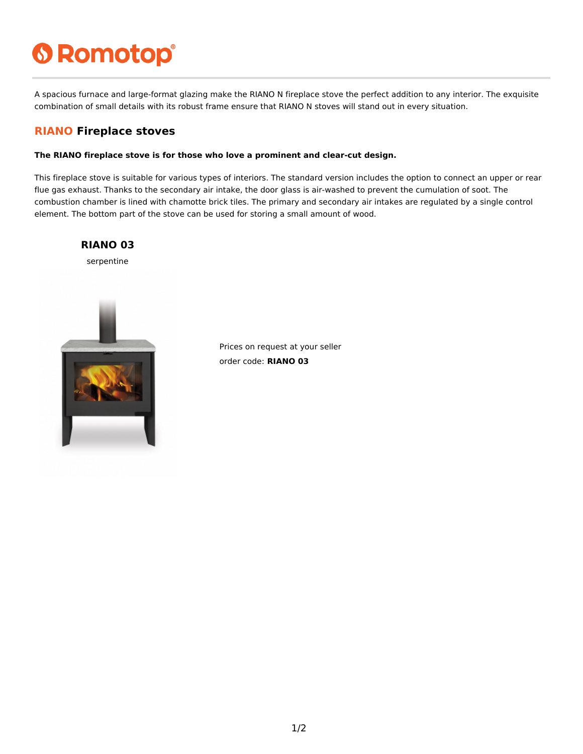# **6 Romotop®**

A spacious furnace and large-format glazing make the RIANO N fireplace stove the perfect addition to any interior. The exquisite combination of small details with its robust frame ensure that RIANO N stoves will stand out in every situation.

### **RIANO Fireplace stoves**

#### **The RIANO fireplace stove is for those who love a prominent and clear-cut design.**

This fireplace stove is suitable for various types of interiors. The standard version includes the option to connect an upper or rear flue gas exhaust. Thanks to the secondary air intake, the door glass is air-washed to prevent the cumulation of soot. The combustion chamber is lined with chamotte brick tiles. The primary and secondary air intakes are regulated by a single control element. The bottom part of the stove can be used for storing a small amount of wood.



Prices on request at your seller order code: **RIANO 03**